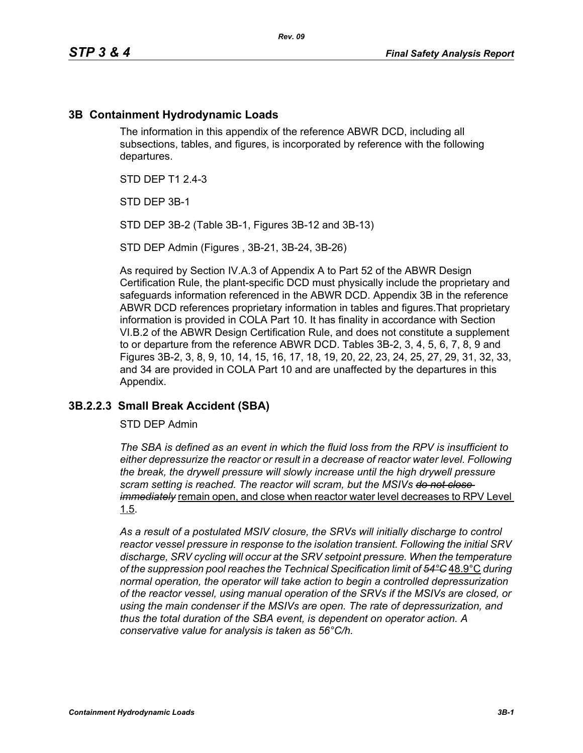## **3B Containment Hydrodynamic Loads**

The information in this appendix of the reference ABWR DCD, including all subsections, tables, and figures, is incorporated by reference with the following departures.

STD DFP T1 2 4-3

STD DEP 3B-1

STD DEP 3B-2 (Table 3B-1, Figures 3B-12 and 3B-13)

STD DEP Admin (Figures , 3B-21, 3B-24, 3B-26)

As required by Section IV.A.3 of Appendix A to Part 52 of the ABWR Design Certification Rule, the plant-specific DCD must physically include the proprietary and safeguards information referenced in the ABWR DCD. Appendix 3B in the reference ABWR DCD references proprietary information in tables and figures.That proprietary information is provided in COLA Part 10. It has finality in accordance with Section VI.B.2 of the ABWR Design Certification Rule, and does not constitute a supplement to or departure from the reference ABWR DCD. Tables 3B-2, 3, 4, 5, 6, 7, 8, 9 and Figures 3B-2, 3, 8, 9, 10, 14, 15, 16, 17, 18, 19, 20, 22, 23, 24, 25, 27, 29, 31, 32, 33, and 34 are provided in COLA Part 10 and are unaffected by the departures in this Appendix.

#### **3B.2.2.3 Small Break Accident (SBA)**

STD DEP Admin

*The SBA is defined as an event in which the fluid loss from the RPV is insufficient to either depressurize the reactor or result in a decrease of reactor water level. Following the break, the drywell pressure will slowly increase until the high drywell pressure scram setting is reached. The reactor will scram, but the MSIVs do not close immediately* remain open, and close when reactor water level decreases to RPV Level 1.5.

*As a result of a postulated MSIV closure, the SRVs will initially discharge to control reactor vessel pressure in response to the isolation transient. Following the initial SRV discharge, SRV cycling will occur at the SRV setpoint pressure. When the temperature of the suppression pool reaches the Technical Specification limit of 54°C* 48.9°C *during normal operation, the operator will take action to begin a controlled depressurization of the reactor vessel, using manual operation of the SRVs if the MSIVs are closed, or using the main condenser if the MSIVs are open. The rate of depressurization, and thus the total duration of the SBA event, is dependent on operator action. A conservative value for analysis is taken as 56°C/h.*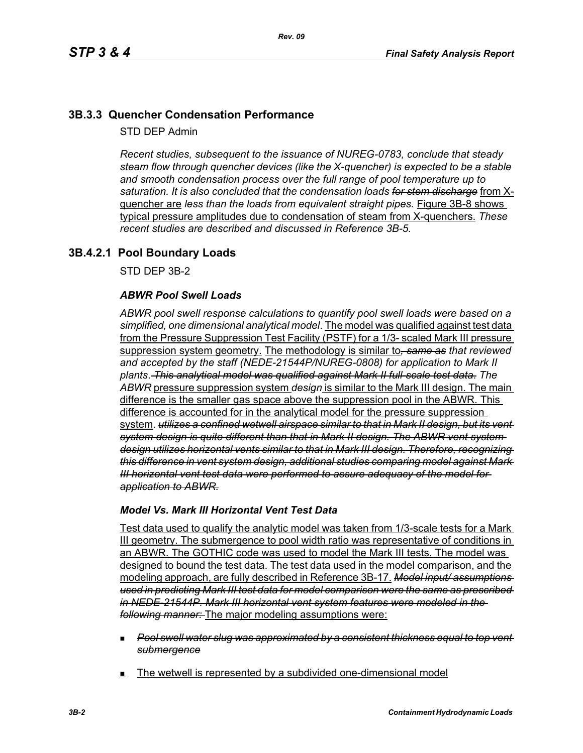# **3B.3.3 Quencher Condensation Performance**

STD DEP Admin

*Recent studies, subsequent to the issuance of NUREG-0783, conclude that steady steam flow through quencher devices (like the X-quencher) is expected to be a stable and smooth condensation process over the full range of pool temperature up to saturation. It is also concluded that the condensation loads for stem discharge* from Xquencher are *less than the loads from equivalent straight pipes.* Figure 3B-8 shows typical pressure amplitudes due to condensation of steam from X-quenchers. *These recent studies are described and discussed in Reference 3B-5.*

# **3B.4.2.1 Pool Boundary Loads**

STD DEP 3B-2

### *ABWR Pool Swell Loads*

*ABWR pool swell response calculations to quantify pool swell loads were based on a simplified, one dimensional analytical model*. The model was qualified against test data from the Pressure Suppression Test Facility (PSTF) for a 1/3- scaled Mark III pressure suppression system geometry. The methodology is similar to*, same as that reviewed and accepted by the staff (NEDE-21544P/NUREG-0808) for application to Mark II plants*. *This analytical model was qualified against Mark II full-scale test data*. *The ABWR* pressure suppression system *design* is similar to the Mark III design. The main difference is the smaller gas space above the suppression pool in the ABWR. This difference is accounted for in the analytical model for the pressure suppression system. *utilizes a confined wetwell airspace similar to that in Mark II design, but its vent system design is quite different than that in Mark II design. The ABWR vent system design utilizes horizontal vents similar to that in Mark III design. Therefore, recognizing this difference in vent system design, additional studies comparing model against Mark III horizontal vent test data were performed to assure adequacy of the model for application to ABWR.*

#### *Model Vs. Mark III Horizontal Vent Test Data*

Test data used to qualify the analytic model was taken from 1/3-scale tests for a Mark III geometry. The submergence to pool width ratio was representative of conditions in an ABWR. The GOTHIC code was used to model the Mark III tests. The model was designed to bound the test data. The test data used in the model comparison, and the modeling approach, are fully described in Reference 3B-17. *Model input/ assumptions used in predicting Mark III test data for model comparison were the same as prescribed in NEDE-21544P. Mark III horizontal vent system features were modeled in the following manner:* The major modeling assumptions were:

- *Pool swell water slug was approximated by a consistent thickness equal to top vent submergence*
- The wetwell is represented by a subdivided one-dimensional model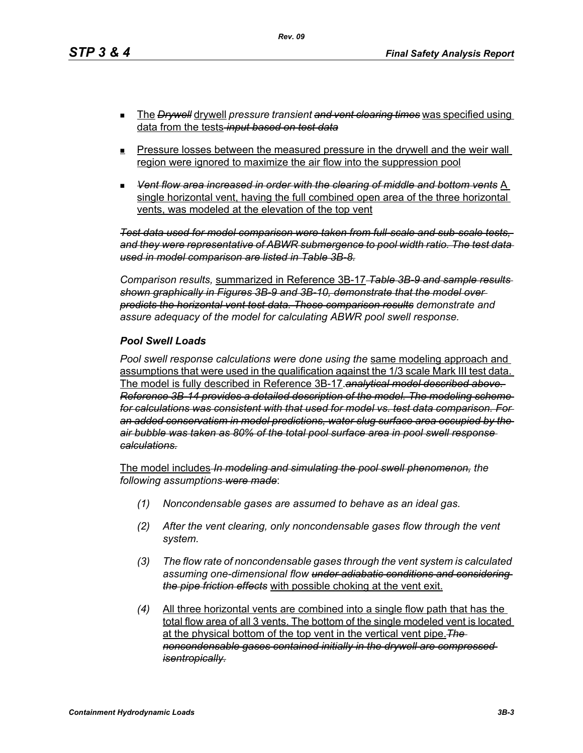- The *Drywell* drywell *pressure transient and vent clearing times* was specified using data from the tests *input based on test data*
- **Pressure losses between the measured pressure in the drywell and the weir wall** region were ignored to maximize the air flow into the suppression pool
- *Vent flow area increased in order with the clearing of middle and bottom vents* A single horizontal vent, having the full combined open area of the three horizontal vents, was modeled at the elevation of the top vent

*Test data used for model comparison were taken from full-scale and sub-scale tests, and they were representative of ABWR submergence to pool width ratio. The test data used in model comparison are listed in Table 3B-8.*

*Comparison results,* summarized in Reference 3B-17 *Table 3B-9 and sample results shown graphically in Figures 3B-9 and 3B-10, demonstrate that the model over predicts the horizontal vent test data. These comparison results demonstrate and assure adequacy of the model for calculating ABWR pool swell response.*

#### *Pool Swell Loads*

*Pool swell response calculations were done using the* same modeling approach and assumptions that were used in the qualification against the 1/3 scale Mark III test data. The model is fully described in Reference 3B-17.*analytical model described above. Reference 3B-14 provides a detailed description of the model. The modeling scheme for calculations was consistent with that used for model vs. test data comparison. For an added conservatism in model predictions, water slug surface area occupied by the air bubble was taken as 80% of the total pool surface area in pool swell response calculations.*

The model includes *In modeling and simulating the pool swell phenomenon, the following assumptions were made*:

- *(1) Noncondensable gases are assumed to behave as an ideal gas.*
- *(2) After the vent clearing, only noncondensable gases flow through the vent system.*
- *(3) The flow rate of noncondensable gases through the vent system is calculated assuming one-dimensional flow under adiabatic conditions and considering the pipe friction effects* with possible choking at the vent exit.
- *(4)* All three horizontal vents are combined into a single flow path that has the total flow area of all 3 vents. The bottom of the single modeled vent is located at the physical bottom of the top vent in the vertical vent pipe.*The noncondensable gases contained initially in the drywell are compressed isentropically.*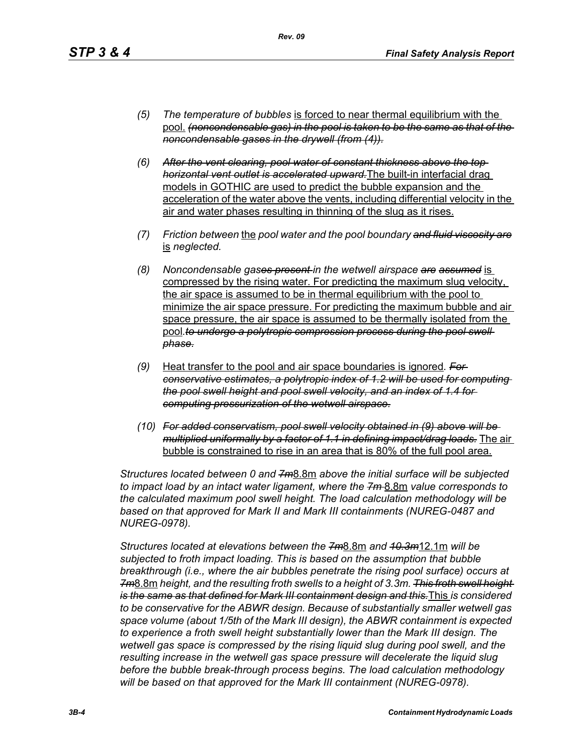*(5) The temperature of bubbles* is forced to near thermal equilibrium with the pool. *(noncondensable gas) in the pool is taken to be the same as that of the noncondensable gases in the drywell (from (4)).*

*Rev. 09*

- *(6) After the vent clearing, pool water of constant thickness above the top horizontal vent outlet is accelerated upward.*The built-in interfacial drag models in GOTHIC are used to predict the bubble expansion and the acceleration of the water above the vents, including differential velocity in the air and water phases resulting in thinning of the slug as it rises.
- *(7) Friction between* the *pool water and the pool boundary and fluid viscosity are* is *neglected.*
- *(8) Noncondensable gases present in the wetwell airspace are assumed* is compressed by the rising water. For predicting the maximum slug velocity, the air space is assumed to be in thermal equilibrium with the pool to minimize the air space pressure. For predicting the maximum bubble and air space pressure, the air space is assumed to be thermally isolated from the pool.to undergo a polytropic compression process during the pool swell *phase.*
- *(9)* Heat transfer to the pool and air space boundaries is ignored*. For conservative estimates, a polytropic index of 1.2 will be used for computing the pool swell height and pool swell velocity, and an index of 1.4 for computing pressurization of the wetwell airspace.*
- *(10) For added conservatism, pool swell velocity obtained in (9) above will be multiplied uniformally by a factor of 1.1 in defining impact/drag loads.* The air bubble is constrained to rise in an area that is 80% of the full pool area.

*Structures located between 0 and 7m*8.8m *above the initial surface will be subjected to impact load by an intact water ligament, where the 7m* 8.8m *value corresponds to the calculated maximum pool swell height. The load calculation methodology will be based on that approved for Mark II and Mark III containments (NUREG-0487 and NUREG-0978).*

*Structures located at elevations between the 7m*8.8m *and 10.3m*12.1m *will be subjected to froth impact loading. This is based on the assumption that bubble breakthrough (i.e., where the air bubbles penetrate the rising pool surface) occurs at 7m*8.8m *height, and the resulting froth swells to a height of 3.3m. This froth swell height is the same as that defined for Mark III containment design and this.*This *is considered to be conservative for the ABWR design. Because of substantially smaller wetwell gas space volume (about 1/5th of the Mark III design), the ABWR containment is expected to experience a froth swell height substantially lower than the Mark III design. The wetwell gas space is compressed by the rising liquid slug during pool swell, and the resulting increase in the wetwell gas space pressure will decelerate the liquid slug before the bubble break-through process begins. The load calculation methodology will be based on that approved for the Mark III containment (NUREG-0978).*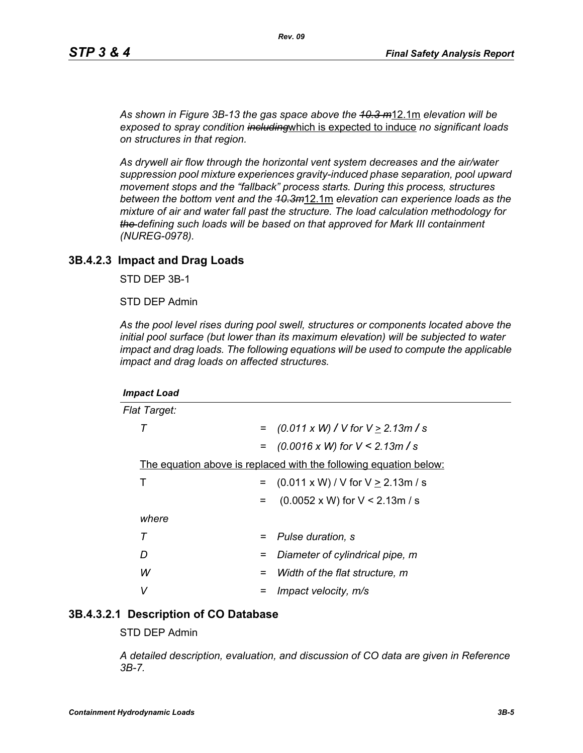*As shown in Figure 3B-13 the gas space above the 10.3 m*12.1m *elevation will be exposed to spray condition including*which is expected to induce *no significant loads on structures in that region.* 

*As drywell air flow through the horizontal vent system decreases and the air/water suppression pool mixture experiences gravity-induced phase separation, pool upward movement stops and the "fallback" process starts. During this process, structures between the bottom vent and the 10.3m*12.1m *elevation can experience loads as the mixture of air and water fall past the structure. The load calculation methodology for the defining such loads will be based on that approved for Mark III containment (NUREG-0978).*

#### **3B.4.2.3 Impact and Drag Loads**

STD DEP 3B-1

STD DEP Admin

*As the pool level rises during pool swell, structures or components located above the initial pool surface (but lower than its maximum elevation) will be subjected to water impact and drag loads. The following equations will be used to compute the applicable impact and drag loads on affected structures.*

| <b>Impact Load</b>                                                |                                               |
|-------------------------------------------------------------------|-----------------------------------------------|
| <b>Flat Target:</b>                                               |                                               |
| т<br>$=$                                                          | $(0.011 \times W)$ / V for V $\geq$ 2.13m / s |
|                                                                   | $=$ (0.0016 x W) for V < 2.13m / s            |
| The equation above is replaced with the following equation below: |                                               |
| Т<br>$=$                                                          | $(0.011 \times W) / V$ for $V \ge 2.13$ m / s |
| $=$                                                               | $(0.0052 \times W)$ for V < 2.13m / s         |
| where                                                             |                                               |
| Τ<br>$=$                                                          | Pulse duration, s                             |
| D<br>=                                                            | Diameter of cylindrical pipe, m               |
| W<br>=                                                            | Width of the flat structure, m                |
| v                                                                 | Impact velocity, m/s                          |

#### **3B.4.3.2.1 Description of CO Database**

STD DEP Admin

*A detailed description, evaluation, and discussion of CO data are given in Reference 3B-7.*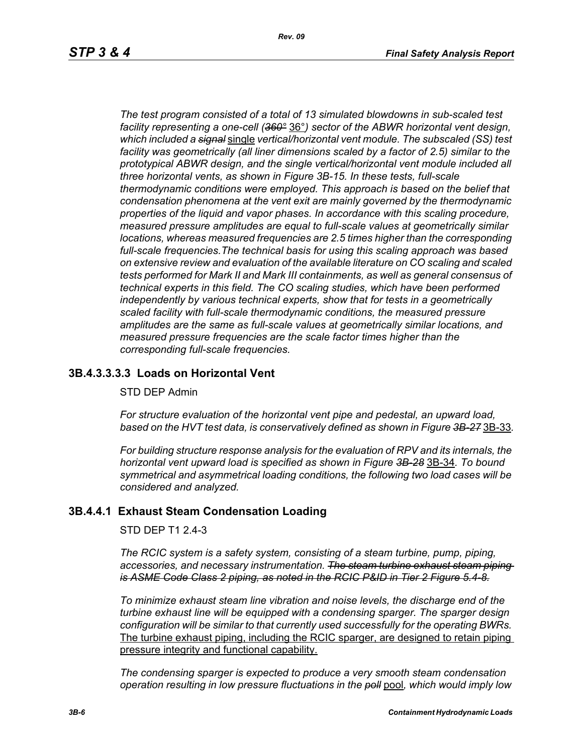*The test program consisted of a total of 13 simulated blowdowns in sub-scaled test facility representing a one-cell (360°* 36°*) sector of the ABWR horizontal vent design, which included a signal* single *vertical/horizontal vent module. The subscaled (SS) test facility was geometrically (all liner dimensions scaled by a factor of 2.5) similar to the prototypical ABWR design, and the single vertical/horizontal vent module included all three horizontal vents, as shown in Figure 3B-15. In these tests, full-scale thermodynamic conditions were employed. This approach is based on the belief that condensation phenomena at the vent exit are mainly governed by the thermodynamic properties of the liquid and vapor phases. In accordance with this scaling procedure, measured pressure amplitudes are equal to full-scale values at geometrically similar locations, whereas measured frequencies are 2.5 times higher than the corresponding full-scale frequencies.The technical basis for using this scaling approach was based on extensive review and evaluation of the available literature on CO scaling and scaled tests performed for Mark II and Mark III containments, as well as general consensus of technical experts in this field. The CO scaling studies, which have been performed independently by various technical experts, show that for tests in a geometrically scaled facility with full-scale thermodynamic conditions, the measured pressure amplitudes are the same as full-scale values at geometrically similar locations, and measured pressure frequencies are the scale factor times higher than the corresponding full-scale frequencies.*

## **3B.4.3.3.3.3 Loads on Horizontal Vent**

#### STD DEP Admin

*For structure evaluation of the horizontal vent pipe and pedestal, an upward load, based on the HVT test data, is conservatively defined as shown in Figure 3B-27* 3B-33*.*

*For building structure response analysis for the evaluation of RPV and its internals, the horizontal vent upward load is specified as shown in Figure 3B-28* 3B-34*. To bound symmetrical and asymmetrical loading conditions, the following two load cases will be considered and analyzed.*

#### **3B.4.4.1 Exhaust Steam Condensation Loading**

STD DEP T1 2.4-3

*The RCIC system is a safety system, consisting of a steam turbine, pump, piping, accessories, and necessary instrumentation. The steam turbine exhaust steam piping is ASME Code Class 2 piping, as noted in the RCIC P&ID in Tier 2 Figure 5.4-8.*

*To minimize exhaust steam line vibration and noise levels, the discharge end of the turbine exhaust line will be equipped with a condensing sparger. The sparger design configuration will be similar to that currently used successfully for the operating BWRs.* The turbine exhaust piping, including the RCIC sparger, are designed to retain piping pressure integrity and functional capability.

*The condensing sparger is expected to produce a very smooth steam condensation operation resulting in low pressure fluctuations in the poll* pool*, which would imply low*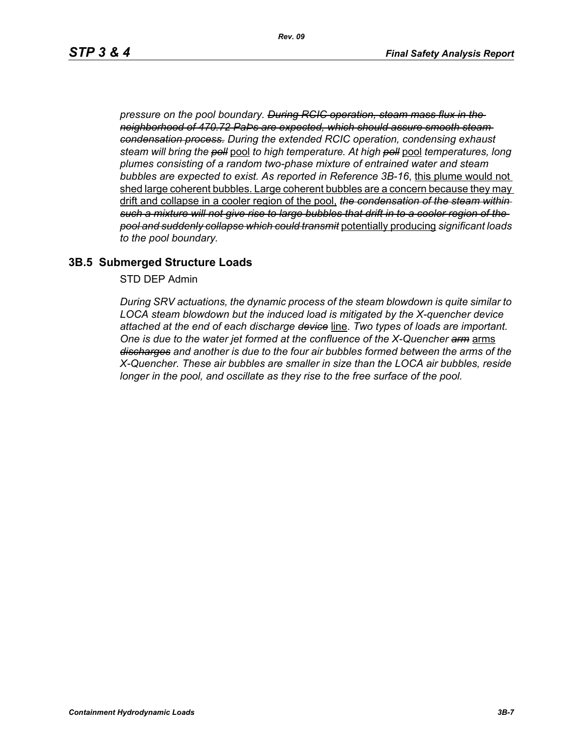*pressure on the pool boundary. During RCIC operation, steam mass flux in the neighborhood of 470.72 PaÞs are expected, which should assure smooth steam condensation process. During the extended RCIC operation, condensing exhaust steam will bring the poll* pool *to high temperature. At high poll* pool *temperatures, long plumes consisting of a random two-phase mixture of entrained water and steam bubbles are expected to exist. As reported in Reference 3B-16*, this plume would not shed large coherent bubbles. Large coherent bubbles are a concern because they may drift and collapse in a cooler region of the pool, *the condensation of the steam within such a mixture will not give rise to large bubbles that drift in to a cooler region of the pool and suddenly collapse which could transmit* potentially producing *significant loads to the pool boundary.*

#### **3B.5 Submerged Structure Loads**

STD DEP Admin

*During SRV actuations, the dynamic process of the steam blowdown is quite similar to LOCA steam blowdown but the induced load is mitigated by the X-quencher device attached at the end of each discharge device* line. *Two types of loads are important. One is due to the water jet formed at the confluence of the X-Quencher arm* arms *discharges and another is due to the four air bubbles formed between the arms of the X-Quencher. These air bubbles are smaller in size than the LOCA air bubbles, reside longer in the pool, and oscillate as they rise to the free surface of the pool.*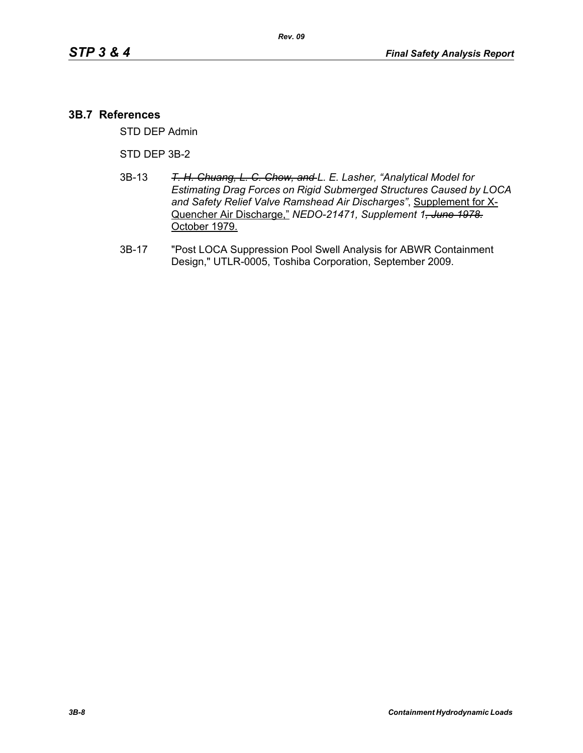#### **3B.7 References**

STD DEP Admin

STD DEP 3B-2

- 3B-13 *T. H. Chuang, L. C. Chow, and L. E. Lasher, "Analytical Model for Estimating Drag Forces on Rigid Submerged Structures Caused by LOCA and Safety Relief Valve Ramshead Air Discharges"*, Supplement for X-Quencher Air Discharge," *NEDO-21471, Supplement 1, June 1978.* October 1979.
- 3B-17 "Post LOCA Suppression Pool Swell Analysis for ABWR Containment Design," UTLR-0005, Toshiba Corporation, September 2009.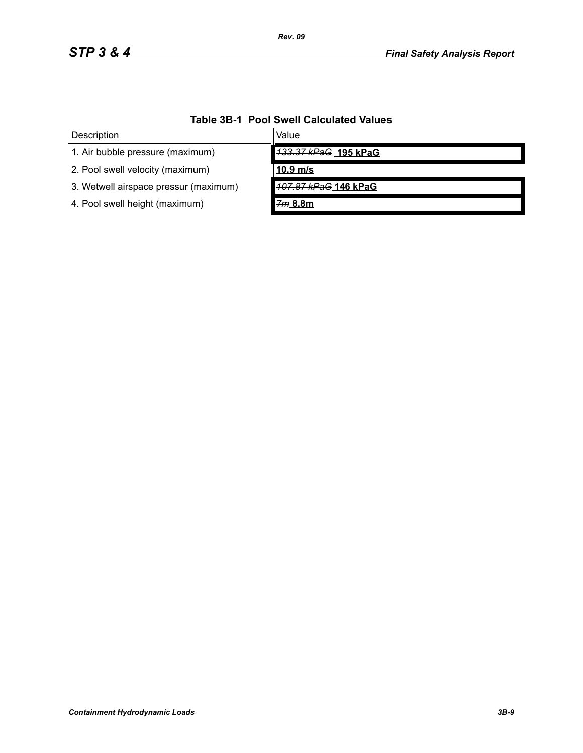| Description                           | Value                |  |
|---------------------------------------|----------------------|--|
| 1. Air bubble pressure (maximum)      | 133.37 kPaG 195 kPaG |  |
| 2. Pool swell velocity (maximum)      | $10.9$ m/s           |  |
| 3. Wetwell airspace pressur (maximum) | 107.87 kPaG 146 kPaG |  |
| 4. Pool swell height (maximum)        | 7m 8.8m              |  |

# **Table 3B-1 Pool Swell Calculated Values**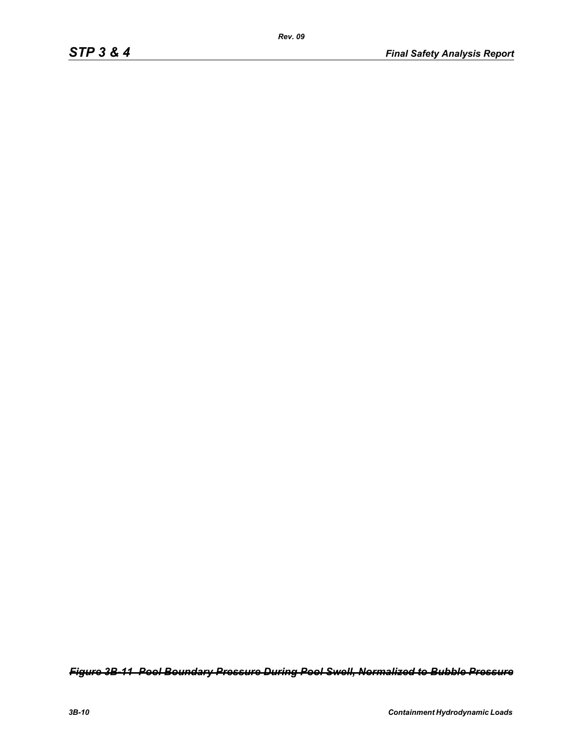*Figure 3B-11 Pool Boundary Pressure During Pool Swell, Normalized to Bubble Pressure*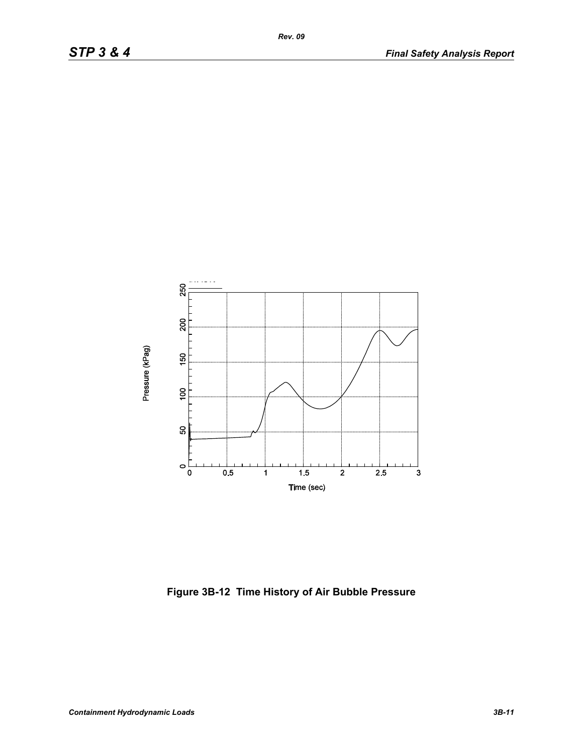

**Figure 3B-12 Time History of Air Bubble Pressure**

*Rev. 09*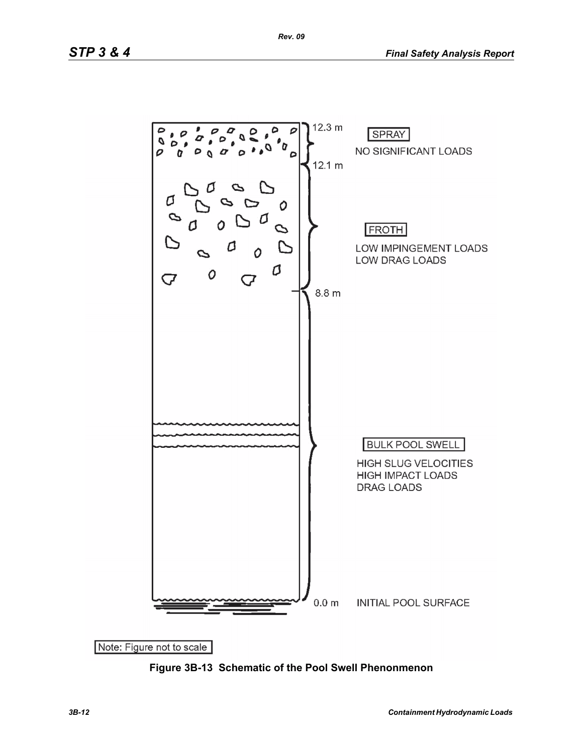

**Figure 3B-13 Schematic of the Pool Swell Phenonmenon**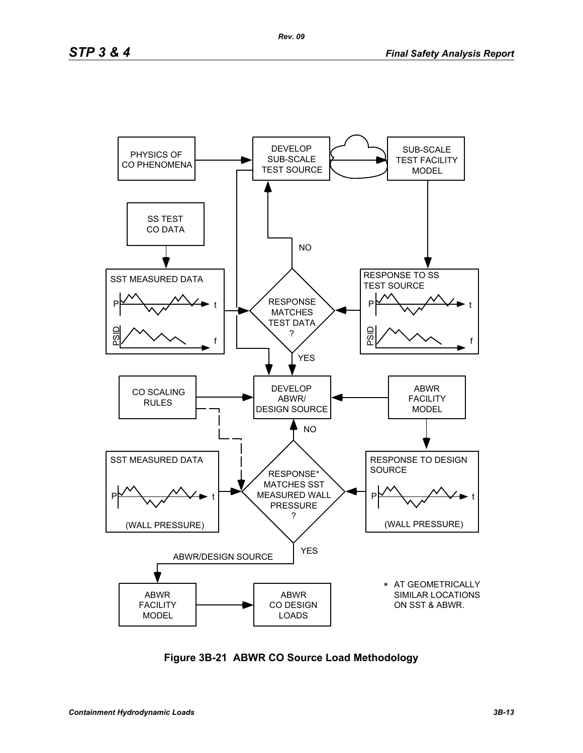

**Figure 3B-21 ABWR CO Source Load Methodology**